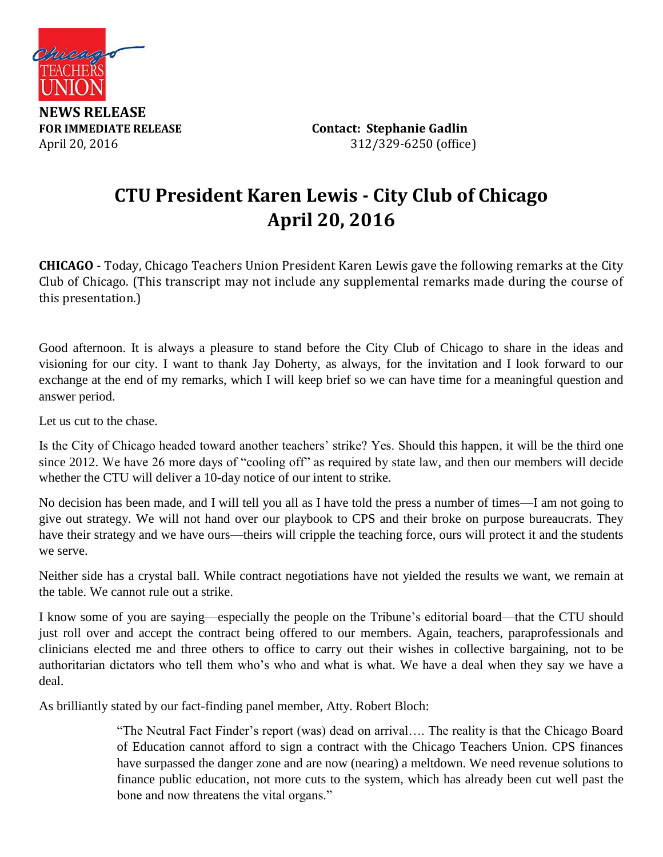

**FOR IMMEDIATE RELEASE Contact: Stephanie Gadlin** April 20, 2016 312/329-6250 (office)

# **CTU President Karen Lewis - City Club of Chicago April 20, 2016**

**CHICAGO** - Today, Chicago Teachers Union President Karen Lewis gave the following remarks at the City Club of Chicago. (This transcript may not include any supplemental remarks made during the course of this presentation.)

Good afternoon. It is always a pleasure to stand before the City Club of Chicago to share in the ideas and visioning for our city. I want to thank Jay Doherty, as always, for the invitation and I look forward to our exchange at the end of my remarks, which I will keep brief so we can have time for a meaningful question and answer period.

Let us cut to the chase.

Is the City of Chicago headed toward another teachers' strike? Yes. Should this happen, it will be the third one since 2012. We have 26 more days of "cooling off" as required by state law, and then our members will decide whether the CTU will deliver a 10-day notice of our intent to strike.

No decision has been made, and I will tell you all as I have told the press a number of times—I am not going to give out strategy. We will not hand over our playbook to CPS and their broke on purpose bureaucrats. They have their strategy and we have ours—theirs will cripple the teaching force, ours will protect it and the students we serve.

Neither side has a crystal ball. While contract negotiations have not yielded the results we want, we remain at the table. We cannot rule out a strike.

I know some of you are saying—especially the people on the Tribune's editorial board—that the CTU should just roll over and accept the contract being offered to our members. Again, teachers, paraprofessionals and clinicians elected me and three others to office to carry out their wishes in collective bargaining, not to be authoritarian dictators who tell them who's who and what is what. We have a deal when they say we have a deal.

As brilliantly stated by our fact-finding panel member, Atty. Robert Bloch:

"The Neutral Fact Finder's report (was) dead on arrival…. The reality is that the Chicago Board of Education cannot afford to sign a contract with the Chicago Teachers Union. CPS finances have surpassed the danger zone and are now (nearing) a meltdown. We need revenue solutions to finance public education, not more cuts to the system, which has already been cut well past the bone and now threatens the vital organs."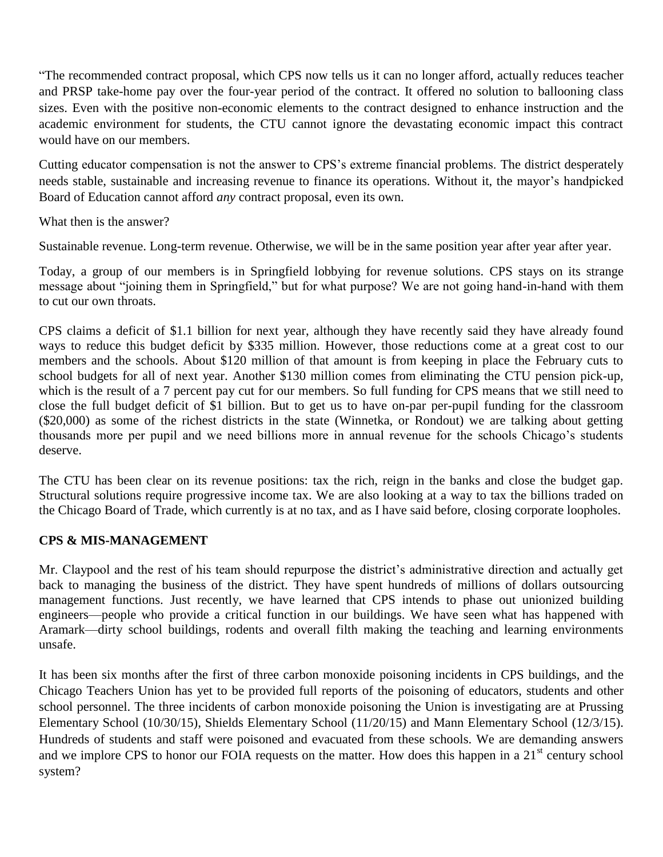"The recommended contract proposal, which CPS now tells us it can no longer afford, actually reduces teacher and PRSP take-home pay over the four-year period of the contract. It offered no solution to ballooning class sizes. Even with the positive non-economic elements to the contract designed to enhance instruction and the academic environment for students, the CTU cannot ignore the devastating economic impact this contract would have on our members.

Cutting educator compensation is not the answer to CPS's extreme financial problems. The district desperately needs stable, sustainable and increasing revenue to finance its operations. Without it, the mayor's handpicked Board of Education cannot afford *any* contract proposal, even its own.

What then is the answer?

Sustainable revenue. Long-term revenue. Otherwise, we will be in the same position year after year after year.

Today, a group of our members is in Springfield lobbying for revenue solutions. CPS stays on its strange message about "joining them in Springfield," but for what purpose? We are not going hand-in-hand with them to cut our own throats.

CPS claims a deficit of \$1.1 billion for next year, although they have recently said they have already found ways to reduce this budget deficit by \$335 million. However, those reductions come at a great cost to our members and the schools. About \$120 million of that amount is from keeping in place the February cuts to school budgets for all of next year. Another \$130 million comes from eliminating the CTU pension pick-up, which is the result of a 7 percent pay cut for our members. So full funding for CPS means that we still need to close the full budget deficit of \$1 billion. But to get us to have on-par per-pupil funding for the classroom (\$20,000) as some of the richest districts in the state (Winnetka, or Rondout) we are talking about getting thousands more per pupil and we need billions more in annual revenue for the schools Chicago's students deserve.

The CTU has been clear on its revenue positions: tax the rich, reign in the banks and close the budget gap. Structural solutions require progressive income tax. We are also looking at a way to tax the billions traded on the Chicago Board of Trade, which currently is at no tax, and as I have said before, closing corporate loopholes.

#### **CPS & MIS-MANAGEMENT**

Mr. Claypool and the rest of his team should repurpose the district's administrative direction and actually get back to managing the business of the district. They have spent hundreds of millions of dollars outsourcing management functions. Just recently, we have learned that CPS intends to phase out unionized building engineers—people who provide a critical function in our buildings. We have seen what has happened with Aramark—dirty school buildings, rodents and overall filth making the teaching and learning environments unsafe.

It has been six months after the first of three carbon monoxide poisoning incidents in CPS buildings, and the Chicago Teachers Union has yet to be provided full reports of the poisoning of educators, students and other school personnel. The three incidents of carbon monoxide poisoning the Union is investigating are at Prussing Elementary School (10/30/15), Shields Elementary School (11/20/15) and Mann Elementary School (12/3/15). Hundreds of students and staff were poisoned and evacuated from these schools. We are demanding answers and we implore CPS to honor our FOIA requests on the matter. How does this happen in a 21<sup>st</sup> century school system?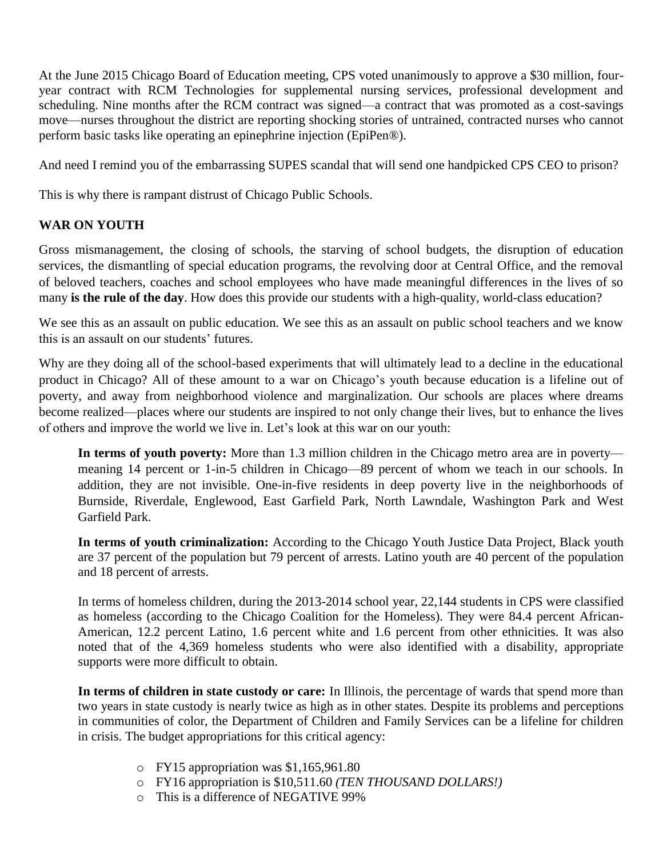At the June 2015 Chicago Board of Education meeting, CPS voted unanimously to approve a \$30 million, fouryear contract with RCM Technologies for supplemental nursing services, professional development and scheduling. Nine months after the RCM contract was signed—a contract that was promoted as a cost-savings move—nurses throughout the district are reporting shocking stories of untrained, contracted nurses who cannot perform basic tasks like operating an epinephrine injection (EpiPen®).

And need I remind you of the embarrassing SUPES scandal that will send one handpicked CPS CEO to prison?

This is why there is rampant distrust of Chicago Public Schools.

#### **WAR ON YOUTH**

Gross mismanagement, the closing of schools, the starving of school budgets, the disruption of education services, the dismantling of special education programs, the revolving door at Central Office, and the removal of beloved teachers, coaches and school employees who have made meaningful differences in the lives of so many **is the rule of the day**. How does this provide our students with a high-quality, world-class education?

We see this as an assault on public education. We see this as an assault on public school teachers and we know this is an assault on our students' futures.

Why are they doing all of the school-based experiments that will ultimately lead to a decline in the educational product in Chicago? All of these amount to a war on Chicago's youth because education is a lifeline out of poverty, and away from neighborhood violence and marginalization. Our schools are places where dreams become realized—places where our students are inspired to not only change their lives, but to enhance the lives of others and improve the world we live in. Let's look at this war on our youth:

**In terms of youth poverty:** More than 1.3 million children in the Chicago metro area are in poverty meaning 14 percent or 1-in-5 children in Chicago—89 percent of whom we teach in our schools. In addition, they are not invisible. One-in-five residents in deep poverty live in the neighborhoods of Burnside, Riverdale, Englewood, East Garfield Park, North Lawndale, Washington Park and West Garfield Park.

**In terms of youth criminalization:** According to the Chicago Youth Justice Data Project, Black youth are 37 percent of the population but 79 percent of arrests. Latino youth are 40 percent of the population and 18 percent of arrests.

In terms of homeless children, during the 2013-2014 school year, 22,144 students in CPS were classified as homeless (according to the Chicago Coalition for the Homeless). They were 84.4 percent African-American, 12.2 percent Latino, 1.6 percent white and 1.6 percent from other ethnicities. It was also noted that of the 4,369 homeless students who were also identified with a disability, appropriate supports were more difficult to obtain.

**In terms of children in state custody or care:** In Illinois, the percentage of wards that spend more than two years in state custody is nearly twice as high as in other states. Despite its problems and perceptions in communities of color, the Department of Children and Family Services can be a lifeline for children in crisis. The budget appropriations for this critical agency:

- o FY15 appropriation was \$1,165,961.80
- o FY16 appropriation is \$10,511.60 *(TEN THOUSAND DOLLARS!)*
- o This is a difference of NEGATIVE 99%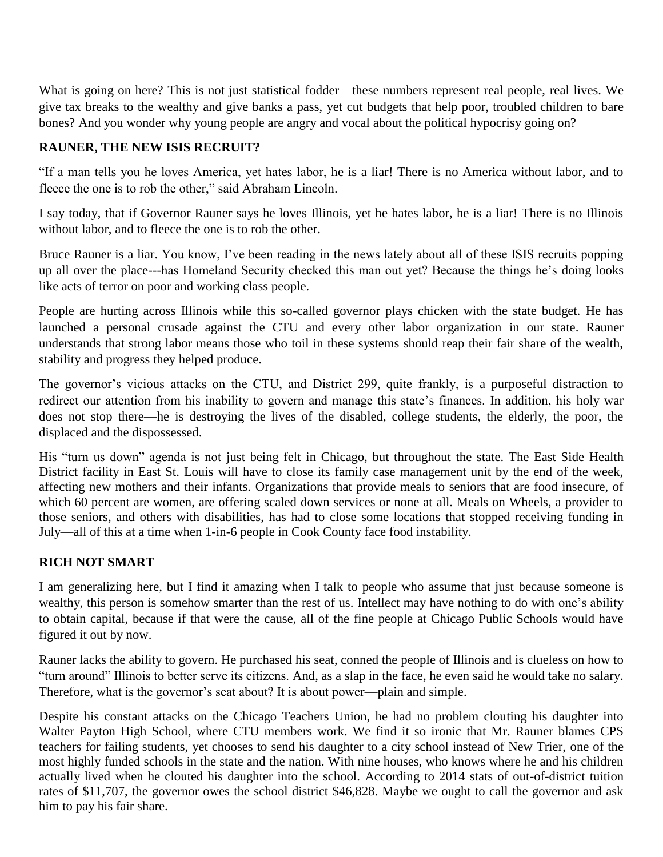What is going on here? This is not just statistical fodder—these numbers represent real people, real lives. We give tax breaks to the wealthy and give banks a pass, yet cut budgets that help poor, troubled children to bare bones? And you wonder why young people are angry and vocal about the political hypocrisy going on?

## **RAUNER, THE NEW ISIS RECRUIT?**

"If a man tells you he loves America, yet hates labor, he is a liar! There is no America without labor, and to fleece the one is to rob the other," said Abraham Lincoln.

I say today, that if Governor Rauner says he loves Illinois, yet he hates labor, he is a liar! There is no Illinois without labor, and to fleece the one is to rob the other.

Bruce Rauner is a liar. You know, I've been reading in the news lately about all of these ISIS recruits popping up all over the place---has Homeland Security checked this man out yet? Because the things he's doing looks like acts of terror on poor and working class people.

People are hurting across Illinois while this so-called governor plays chicken with the state budget. He has launched a personal crusade against the CTU and every other labor organization in our state. Rauner understands that strong labor means those who toil in these systems should reap their fair share of the wealth, stability and progress they helped produce.

The governor's vicious attacks on the CTU, and District 299, quite frankly, is a purposeful distraction to redirect our attention from his inability to govern and manage this state's finances. In addition, his holy war does not stop there—he is destroying the lives of the disabled, college students, the elderly, the poor, the displaced and the dispossessed.

His "turn us down" agenda is not just being felt in Chicago, but throughout the state. The East Side Health District facility in East St. Louis will have to close its family case management unit by the end of the week, affecting new mothers and their infants. Organizations that provide meals to seniors that are food insecure, of which 60 percent are women, are offering scaled down services or none at all. Meals on Wheels, a provider to those seniors, and others with disabilities, has had to close some locations that stopped receiving funding in July—all of this at a time when 1-in-6 people in Cook County face food instability.

### **RICH NOT SMART**

I am generalizing here, but I find it amazing when I talk to people who assume that just because someone is wealthy, this person is somehow smarter than the rest of us. Intellect may have nothing to do with one's ability to obtain capital, because if that were the cause, all of the fine people at Chicago Public Schools would have figured it out by now.

Rauner lacks the ability to govern. He purchased his seat, conned the people of Illinois and is clueless on how to "turn around" Illinois to better serve its citizens. And, as a slap in the face, he even said he would take no salary. Therefore, what is the governor's seat about? It is about power—plain and simple.

Despite his constant attacks on the Chicago Teachers Union, he had no problem clouting his daughter into Walter Payton High School, where CTU members work. We find it so ironic that Mr. Rauner blames CPS teachers for failing students, yet chooses to send his daughter to a city school instead of New Trier, one of the most highly funded schools in the state and the nation. With nine houses, who knows where he and his children actually lived when he clouted his daughter into the school. According to 2014 stats of out-of-district tuition rates of \$11,707, the governor owes the school district \$46,828. Maybe we ought to call the governor and ask him to pay his fair share.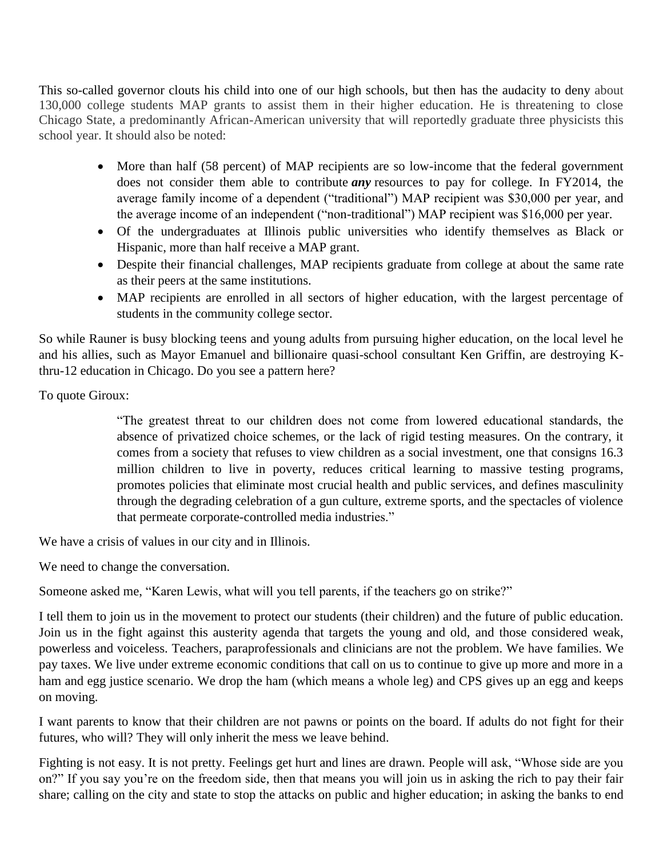This so-called governor clouts his child into one of our high schools, but then has the audacity to deny about 130,000 college students MAP grants to assist them in their higher education. He is threatening to close Chicago State, a predominantly African-American university that will reportedly graduate three physicists this school year. It should also be noted:

- More than half (58 percent) of MAP recipients are so low-income that the federal government does not consider them able to contribute *any* resources to pay for college. In FY2014, the average family income of a dependent ("traditional") MAP recipient was \$30,000 per year, and the average income of an independent ("non-traditional") MAP recipient was \$16,000 per year.
- Of the undergraduates at Illinois public universities who identify themselves as Black or Hispanic, more than half receive a MAP grant.
- Despite their financial challenges, MAP recipients graduate from college at about the same rate as their peers at the same institutions.
- MAP recipients are enrolled in all sectors of higher education, with the largest percentage of students in the community college sector.

So while Rauner is busy blocking teens and young adults from pursuing higher education, on the local level he and his allies, such as Mayor Emanuel and billionaire quasi-school consultant Ken Griffin, are destroying Kthru-12 education in Chicago. Do you see a pattern here?

To quote Giroux:

"The greatest threat to our children does not come from lowered educational standards, the absence of privatized choice schemes, or the lack of rigid testing measures. On the contrary, it comes from a society that refuses to view children as a social investment, one that consigns 16.3 million children to live in poverty, reduces critical learning to massive testing programs, promotes policies that eliminate most crucial health and public services, and defines masculinity through the degrading celebration of a gun culture, extreme sports, and the spectacles of violence that permeate corporate-controlled media industries."

We have a crisis of values in our city and in Illinois.

We need to change the conversation.

Someone asked me, "Karen Lewis, what will you tell parents, if the teachers go on strike?"

I tell them to join us in the movement to protect our students (their children) and the future of public education. Join us in the fight against this austerity agenda that targets the young and old, and those considered weak, powerless and voiceless. Teachers, paraprofessionals and clinicians are not the problem. We have families. We pay taxes. We live under extreme economic conditions that call on us to continue to give up more and more in a ham and egg justice scenario. We drop the ham (which means a whole leg) and CPS gives up an egg and keeps on moving.

I want parents to know that their children are not pawns or points on the board. If adults do not fight for their futures, who will? They will only inherit the mess we leave behind.

Fighting is not easy. It is not pretty. Feelings get hurt and lines are drawn. People will ask, "Whose side are you on?" If you say you're on the freedom side, then that means you will join us in asking the rich to pay their fair share; calling on the city and state to stop the attacks on public and higher education; in asking the banks to end